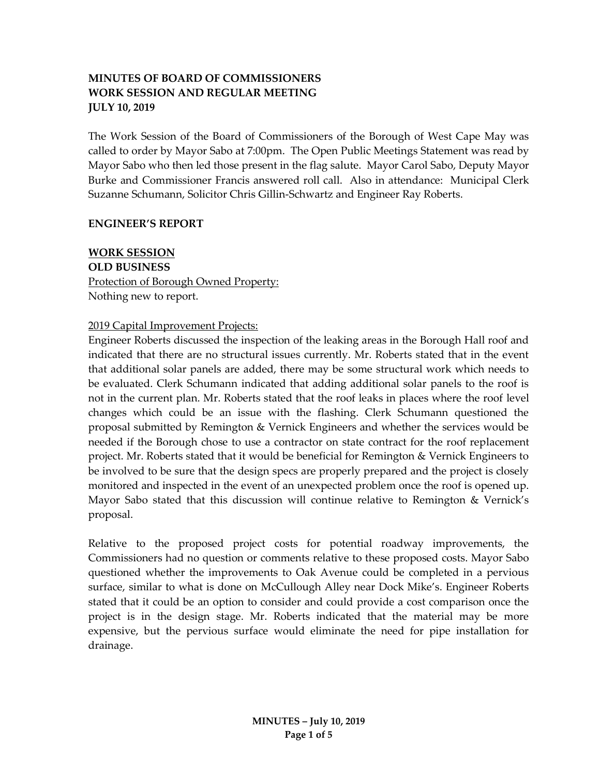# **MINUTES OF BOARD OF COMMISSIONERS WORK SESSION AND REGULAR MEETING JULY 10, 2019**

The Work Session of the Board of Commissioners of the Borough of West Cape May was called to order by Mayor Sabo at 7:00pm. The Open Public Meetings Statement was read by Mayor Sabo who then led those present in the flag salute. Mayor Carol Sabo, Deputy Mayor Burke and Commissioner Francis answered roll call. Also in attendance: Municipal Clerk Suzanne Schumann, Solicitor Chris Gillin-Schwartz and Engineer Ray Roberts.

#### **ENGINEER'S REPORT**

**WORK SESSION OLD BUSINESS** Protection of Borough Owned Property: Nothing new to report.

### 2019 Capital Improvement Projects:

Engineer Roberts discussed the inspection of the leaking areas in the Borough Hall roof and indicated that there are no structural issues currently. Mr. Roberts stated that in the event that additional solar panels are added, there may be some structural work which needs to be evaluated. Clerk Schumann indicated that adding additional solar panels to the roof is not in the current plan. Mr. Roberts stated that the roof leaks in places where the roof level changes which could be an issue with the flashing. Clerk Schumann questioned the proposal submitted by Remington & Vernick Engineers and whether the services would be needed if the Borough chose to use a contractor on state contract for the roof replacement project. Mr. Roberts stated that it would be beneficial for Remington & Vernick Engineers to be involved to be sure that the design specs are properly prepared and the project is closely monitored and inspected in the event of an unexpected problem once the roof is opened up. Mayor Sabo stated that this discussion will continue relative to Remington & Vernick's proposal.

Relative to the proposed project costs for potential roadway improvements, the Commissioners had no question or comments relative to these proposed costs. Mayor Sabo questioned whether the improvements to Oak Avenue could be completed in a pervious surface, similar to what is done on McCullough Alley near Dock Mike's. Engineer Roberts stated that it could be an option to consider and could provide a cost comparison once the project is in the design stage. Mr. Roberts indicated that the material may be more expensive, but the pervious surface would eliminate the need for pipe installation for drainage.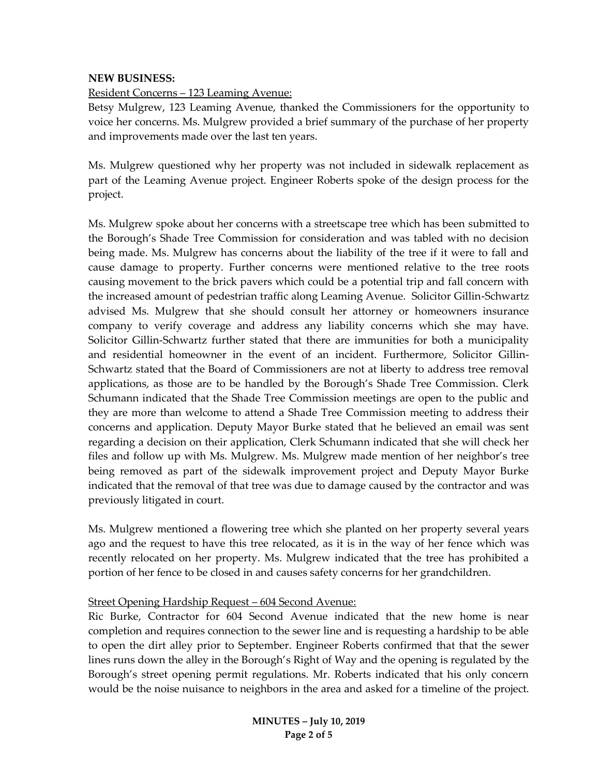### **NEW BUSINESS:**

Resident Concerns – 123 Leaming Avenue:

Betsy Mulgrew, 123 Leaming Avenue, thanked the Commissioners for the opportunity to voice her concerns. Ms. Mulgrew provided a brief summary of the purchase of her property and improvements made over the last ten years.

Ms. Mulgrew questioned why her property was not included in sidewalk replacement as part of the Leaming Avenue project. Engineer Roberts spoke of the design process for the project.

Ms. Mulgrew spoke about her concerns with a streetscape tree which has been submitted to the Borough's Shade Tree Commission for consideration and was tabled with no decision being made. Ms. Mulgrew has concerns about the liability of the tree if it were to fall and cause damage to property. Further concerns were mentioned relative to the tree roots causing movement to the brick pavers which could be a potential trip and fall concern with the increased amount of pedestrian traffic along Leaming Avenue. Solicitor Gillin-Schwartz advised Ms. Mulgrew that she should consult her attorney or homeowners insurance company to verify coverage and address any liability concerns which she may have. Solicitor Gillin-Schwartz further stated that there are immunities for both a municipality and residential homeowner in the event of an incident. Furthermore, Solicitor Gillin-Schwartz stated that the Board of Commissioners are not at liberty to address tree removal applications, as those are to be handled by the Borough's Shade Tree Commission. Clerk Schumann indicated that the Shade Tree Commission meetings are open to the public and they are more than welcome to attend a Shade Tree Commission meeting to address their concerns and application. Deputy Mayor Burke stated that he believed an email was sent regarding a decision on their application, Clerk Schumann indicated that she will check her files and follow up with Ms. Mulgrew. Ms. Mulgrew made mention of her neighbor's tree being removed as part of the sidewalk improvement project and Deputy Mayor Burke indicated that the removal of that tree was due to damage caused by the contractor and was previously litigated in court.

Ms. Mulgrew mentioned a flowering tree which she planted on her property several years ago and the request to have this tree relocated, as it is in the way of her fence which was recently relocated on her property. Ms. Mulgrew indicated that the tree has prohibited a portion of her fence to be closed in and causes safety concerns for her grandchildren.

#### Street Opening Hardship Request – 604 Second Avenue:

Ric Burke, Contractor for 604 Second Avenue indicated that the new home is near completion and requires connection to the sewer line and is requesting a hardship to be able to open the dirt alley prior to September. Engineer Roberts confirmed that that the sewer lines runs down the alley in the Borough's Right of Way and the opening is regulated by the Borough's street opening permit regulations. Mr. Roberts indicated that his only concern would be the noise nuisance to neighbors in the area and asked for a timeline of the project.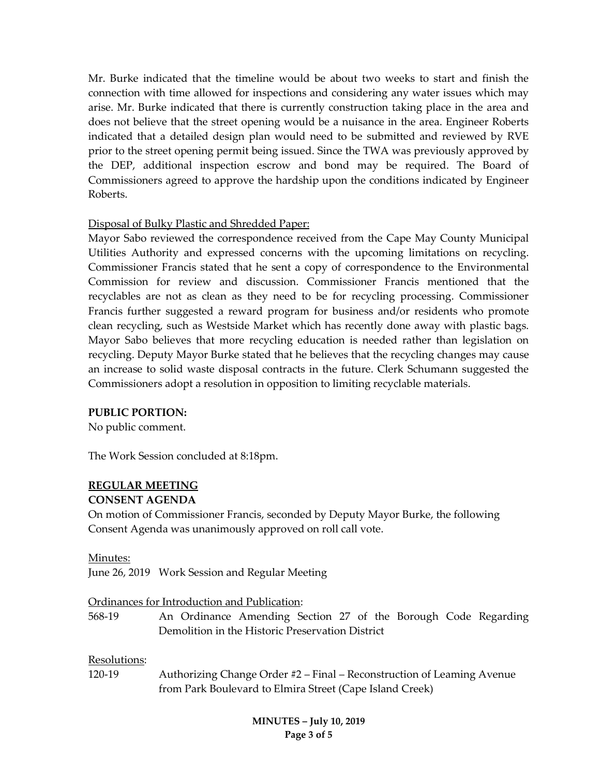Mr. Burke indicated that the timeline would be about two weeks to start and finish the connection with time allowed for inspections and considering any water issues which may arise. Mr. Burke indicated that there is currently construction taking place in the area and does not believe that the street opening would be a nuisance in the area. Engineer Roberts indicated that a detailed design plan would need to be submitted and reviewed by RVE prior to the street opening permit being issued. Since the TWA was previously approved by the DEP, additional inspection escrow and bond may be required. The Board of Commissioners agreed to approve the hardship upon the conditions indicated by Engineer Roberts.

# Disposal of Bulky Plastic and Shredded Paper:

Mayor Sabo reviewed the correspondence received from the Cape May County Municipal Utilities Authority and expressed concerns with the upcoming limitations on recycling. Commissioner Francis stated that he sent a copy of correspondence to the Environmental Commission for review and discussion. Commissioner Francis mentioned that the recyclables are not as clean as they need to be for recycling processing. Commissioner Francis further suggested a reward program for business and/or residents who promote clean recycling, such as Westside Market which has recently done away with plastic bags. Mayor Sabo believes that more recycling education is needed rather than legislation on recycling. Deputy Mayor Burke stated that he believes that the recycling changes may cause an increase to solid waste disposal contracts in the future. Clerk Schumann suggested the Commissioners adopt a resolution in opposition to limiting recyclable materials.

#### **PUBLIC PORTION:**

No public comment.

The Work Session concluded at 8:18pm.

# **REGULAR MEETING**

#### **CONSENT AGENDA**

On motion of Commissioner Francis, seconded by Deputy Mayor Burke, the following Consent Agenda was unanimously approved on roll call vote.

#### Minutes:

June 26, 2019 Work Session and Regular Meeting

#### Ordinances for Introduction and Publication:

568-19 An Ordinance Amending Section 27 of the Borough Code Regarding Demolition in the Historic Preservation District

# Resolutions:

120-19 Authorizing Change Order #2 – Final – Reconstruction of Leaming Avenue from Park Boulevard to Elmira Street (Cape Island Creek)

> **MINUTES – July 10, 2019 Page 3 of 5**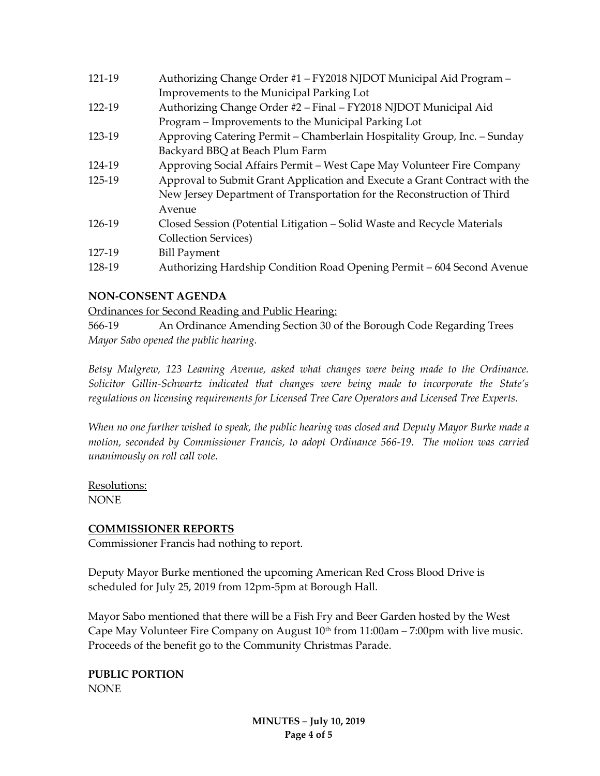| 121-19 | Authorizing Change Order #1 - FY2018 NJDOT Municipal Aid Program -         |
|--------|----------------------------------------------------------------------------|
|        | Improvements to the Municipal Parking Lot                                  |
| 122-19 | Authorizing Change Order #2 - Final - FY2018 NJDOT Municipal Aid           |
|        | Program - Improvements to the Municipal Parking Lot                        |
| 123-19 | Approving Catering Permit – Chamberlain Hospitality Group, Inc. – Sunday   |
|        | Backyard BBQ at Beach Plum Farm                                            |
| 124-19 | Approving Social Affairs Permit - West Cape May Volunteer Fire Company     |
| 125-19 | Approval to Submit Grant Application and Execute a Grant Contract with the |
|        | New Jersey Department of Transportation for the Reconstruction of Third    |
|        | Avenue                                                                     |
| 126-19 | Closed Session (Potential Litigation – Solid Waste and Recycle Materials   |
|        | <b>Collection Services</b> )                                               |
| 127-19 | <b>Bill Payment</b>                                                        |
| 128-19 | Authorizing Hardship Condition Road Opening Permit - 604 Second Avenue     |

# **NON-CONSENT AGENDA**

Ordinances for Second Reading and Public Hearing:

566-19 An Ordinance Amending Section 30 of the Borough Code Regarding Trees *Mayor Sabo opened the public hearing.* 

*Betsy Mulgrew, 123 Leaming Avenue, asked what changes were being made to the Ordinance. Solicitor Gillin-Schwartz indicated that changes were being made to incorporate the State's regulations on licensing requirements for Licensed Tree Care Operators and Licensed Tree Experts.*

*When no one further wished to speak, the public hearing was closed and Deputy Mayor Burke made a motion, seconded by Commissioner Francis, to adopt Ordinance 566-19. The motion was carried unanimously on roll call vote.*

Resolutions: NONE

# **COMMISSIONER REPORTS**

Commissioner Francis had nothing to report.

Deputy Mayor Burke mentioned the upcoming American Red Cross Blood Drive is scheduled for July 25, 2019 from 12pm-5pm at Borough Hall.

Mayor Sabo mentioned that there will be a Fish Fry and Beer Garden hosted by the West Cape May Volunteer Fire Company on August  $10<sup>th</sup>$  from  $11:00$ am  $- 7:00$ pm with live music. Proceeds of the benefit go to the Community Christmas Parade.

**PUBLIC PORTION** NONE